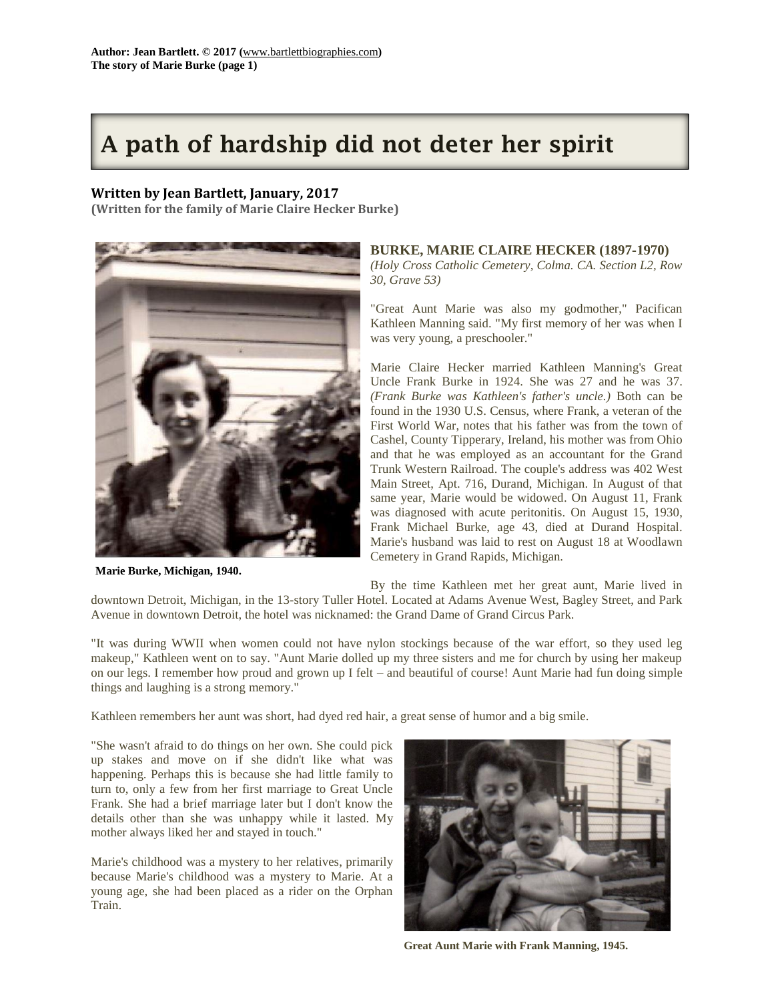# **A path of hardship did not deter her spirit**

## **Written by Jean Bartlett, January, 2017**

**(Written for the family of Marie Claire Hecker Burke)**



**Marie Burke, Michigan, 1940.**

## **BURKE, MARIE CLAIRE HECKER (1897-1970)**

*(Holy Cross Catholic Cemetery, Colma. CA. Section L2, Row 30, Grave 53)*

"Great Aunt Marie was also my godmother," Pacifican Kathleen Manning said. "My first memory of her was when I was very young, a preschooler."

Marie Claire Hecker married Kathleen Manning's Great Uncle Frank Burke in 1924. She was 27 and he was 37. *(Frank Burke was Kathleen's father's uncle.)* Both can be found in the 1930 U.S. Census, where Frank, a veteran of the First World War, notes that his father was from the town of Cashel, County Tipperary, Ireland, his mother was from Ohio and that he was employed as an accountant for the Grand Trunk Western Railroad. The couple's address was 402 West Main Street, Apt. 716, Durand, Michigan. In August of that same year, Marie would be widowed. On August 11, Frank was diagnosed with acute peritonitis. On August 15, 1930, Frank Michael Burke, age 43, died at Durand Hospital. Marie's husband was laid to rest on August 18 at Woodlawn Cemetery in Grand Rapids, Michigan.

By the time Kathleen met her great aunt, Marie lived in downtown Detroit, Michigan, in the 13-story Tuller Hotel. Located at Adams Avenue West, Bagley Street, and Park Avenue in downtown Detroit, the hotel was nicknamed: the Grand Dame of Grand Circus Park.

"It was during WWII when women could not have nylon stockings because of the war effort, so they used leg makeup," Kathleen went on to say. "Aunt Marie dolled up my three sisters and me for church by using her makeup on our legs. I remember how proud and grown up I felt – and beautiful of course! Aunt Marie had fun doing simple things and laughing is a strong memory."

Kathleen remembers her aunt was short, had dyed red hair, a great sense of humor and a big smile.

"She wasn't afraid to do things on her own. She could pick up stakes and move on if she didn't like what was happening. Perhaps this is because she had little family to turn to, only a few from her first marriage to Great Uncle Frank. She had a brief marriage later but I don't know the details other than she was unhappy while it lasted. My mother always liked her and stayed in touch."

Marie's childhood was a mystery to her relatives, primarily because Marie's childhood was a mystery to Marie. At a young age, she had been placed as a rider on the Orphan Train.



**Great Aunt Marie with Frank Manning, 1945.**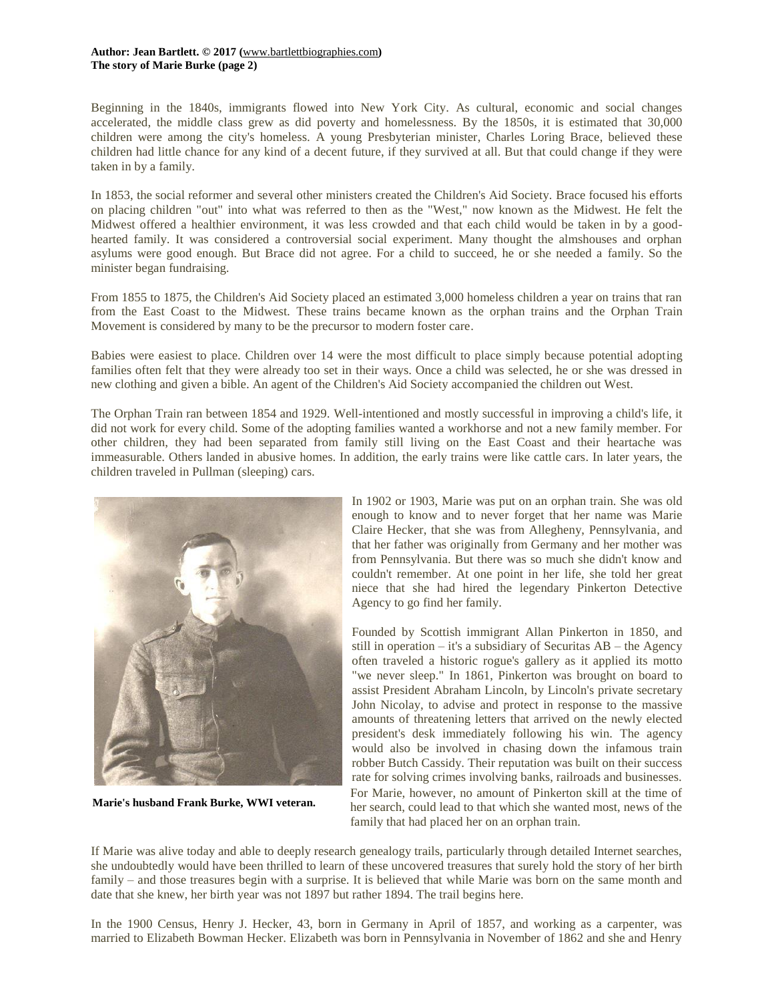### **Author: Jean Bartlett. © 2017 (**[www.bartlettbiographies.com](http://www.bartlettbiographies.com/)**) The story of Marie Burke (page 2)**

Beginning in the 1840s, immigrants flowed into New York City. As cultural, economic and social changes accelerated, the middle class grew as did poverty and homelessness. By the 1850s, it is estimated that 30,000 children were among the city's homeless. A young Presbyterian minister, Charles Loring Brace, believed these children had little chance for any kind of a decent future, if they survived at all. But that could change if they were taken in by a family.

In 1853, the social reformer and several other ministers created the Children's Aid Society. Brace focused his efforts on placing children "out" into what was referred to then as the "West," now known as the Midwest. He felt the Midwest offered a healthier environment, it was less crowded and that each child would be taken in by a goodhearted family. It was considered a controversial social experiment. Many thought the almshouses and orphan asylums were good enough. But Brace did not agree. For a child to succeed, he or she needed a family. So the minister began fundraising.

From 1855 to 1875, the Children's Aid Society placed an estimated 3,000 homeless children a year on trains that ran from the East Coast to the Midwest. These trains became known as the orphan trains and the Orphan Train Movement is considered by many to be the precursor to modern foster care.

Babies were easiest to place. Children over 14 were the most difficult to place simply because potential adopting families often felt that they were already too set in their ways. Once a child was selected, he or she was dressed in new clothing and given a bible. An agent of the Children's Aid Society accompanied the children out West.

The Orphan Train ran between 1854 and 1929. Well-intentioned and mostly successful in improving a child's life, it did not work for every child. Some of the adopting families wanted a workhorse and not a new family member. For other children, they had been separated from family still living on the East Coast and their heartache was immeasurable. Others landed in abusive homes. In addition, the early trains were like cattle cars. In later years, the children traveled in Pullman (sleeping) cars.



**Marie's husband Frank Burke, WWI veteran.**

In 1902 or 1903, Marie was put on an orphan train. She was old enough to know and to never forget that her name was Marie Claire Hecker, that she was from Allegheny, Pennsylvania, and that her father was originally from Germany and her mother was from Pennsylvania. But there was so much she didn't know and couldn't remember. At one point in her life, she told her great niece that she had hired the legendary Pinkerton Detective Agency to go find her family.

Founded by Scottish immigrant Allan Pinkerton in 1850, and still in operation – it's a subsidiary of Securitas AB – the Agency often traveled a historic rogue's gallery as it applied its motto "we never sleep." In 1861, Pinkerton was brought on board to assist President Abraham Lincoln, by Lincoln's private secretary John Nicolay, to advise and protect in response to the massive amounts of threatening letters that arrived on the newly elected president's desk immediately following his win. The agency would also be involved in chasing down the infamous train robber Butch Cassidy. Their reputation was built on their success rate for solving crimes involving banks, railroads and businesses. For Marie, however, no amount of Pinkerton skill at the time of her search, could lead to that which she wanted most, news of the family that had placed her on an orphan train.

If Marie was alive today and able to deeply research genealogy trails, particularly through detailed Internet searches, she undoubtedly would have been thrilled to learn of these uncovered treasures that surely hold the story of her birth family – and those treasures begin with a surprise. It is believed that while Marie was born on the same month and date that she knew, her birth year was not 1897 but rather 1894. The trail begins here.

In the 1900 Census, Henry J. Hecker, 43, born in Germany in April of 1857, and working as a carpenter, was married to Elizabeth Bowman Hecker. Elizabeth was born in Pennsylvania in November of 1862 and she and Henry